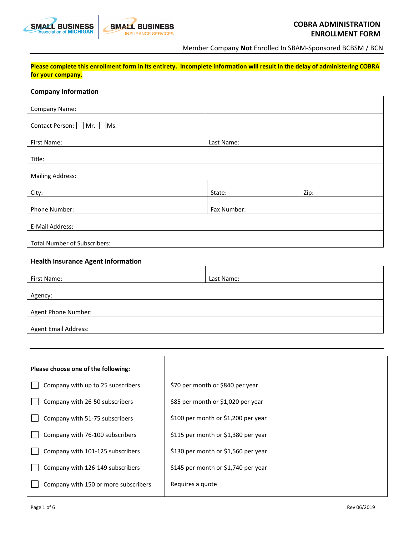



Member Company **Not** Enrolled In SBAM-Sponsored BCBSM / BCN

**Please complete this enrollment form in its entirety. Incomplete information will result in the delay of administering COBRA for your company.**

## **Company Information**

| <b>Company Name:</b>                |             |      |  |
|-------------------------------------|-------------|------|--|
| Contact Person: □ Mr. □ Ms.         |             |      |  |
| First Name:                         | Last Name:  |      |  |
| Title:                              |             |      |  |
| <b>Mailing Address:</b>             |             |      |  |
| City:                               | State:      | Zip: |  |
| Phone Number:                       | Fax Number: |      |  |
| E-Mail Address:                     |             |      |  |
| <b>Total Number of Subscribers:</b> |             |      |  |

# **Health Insurance Agent Information**

| First Name:                 | Last Name: |
|-----------------------------|------------|
|                             |            |
| Agency:                     |            |
|                             |            |
| Agent Phone Number:         |            |
|                             |            |
| <b>Agent Email Address:</b> |            |

| Please choose one of the following:  |                                     |
|--------------------------------------|-------------------------------------|
| Company with up to 25 subscribers    | \$70 per month or \$840 per year    |
| Company with 26-50 subscribers       | \$85 per month or \$1,020 per year  |
| Company with 51-75 subscribers       | \$100 per month or \$1,200 per year |
| Company with 76-100 subscribers      | \$115 per month or \$1,380 per year |
| Company with 101-125 subscribers     | \$130 per month or \$1,560 per year |
| Company with 126-149 subscribers     | \$145 per month or \$1,740 per year |
| Company with 150 or more subscribers | Requires a quote                    |
|                                      |                                     |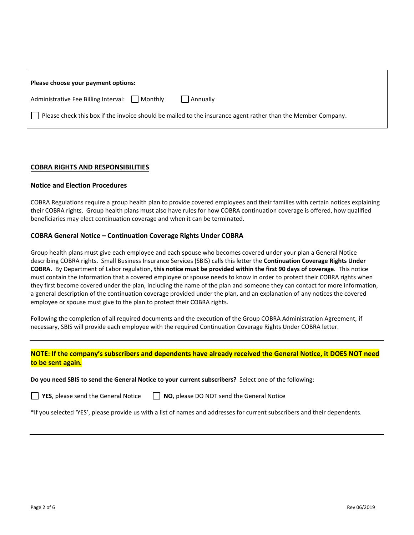| Please choose your payment options:                 |                                                                                                              |
|-----------------------------------------------------|--------------------------------------------------------------------------------------------------------------|
| Administrative Fee Billing Interval: $\Box$ Monthly | Annually                                                                                                     |
|                                                     | Please check this box if the invoice should be mailed to the insurance agent rather than the Member Company. |

## **COBRA RIGHTS AND RESPONSIBILITIES**

#### **Notice and Election Procedures**

COBRA Regulations require a group health plan to provide covered employees and their families with certain notices explaining their COBRA rights. Group health plans must also have rules for how COBRA continuation coverage is offered, how qualified beneficiaries may elect continuation coverage and when it can be terminated.

#### **COBRA General Notice – Continuation Coverage Rights Under COBRA**

Group health plans must give each employee and each spouse who becomes covered under your plan a General Notice describing COBRA rights. Small Business Insurance Services (SBIS) calls this letter the **Continuation Coverage Rights Under COBRA.** By Department of Labor regulation, **this notice must be provided within the first 90 days of coverage**. This notice must contain the information that a covered employee or spouse needs to know in order to protect their COBRA rights when they first become covered under the plan, including the name of the plan and someone they can contact for more information, a general description of the continuation coverage provided under the plan, and an explanation of any notices the covered employee or spouse must give to the plan to protect their COBRA rights.

Following the completion of all required documents and the execution of the Group COBRA Administration Agreement, if necessary, SBIS will provide each employee with the required Continuation Coverage Rights Under COBRA letter.

# **NOTE: If the company's subscribers and dependents have already received the General Notice, it DOES NOT need to be sent again.**

**Do you need SBIS to send the General Notice to your current subscribers?** Select one of the following:

**T** YES, please send the General Notice **NO**, please DO NOT send the General Notice

\*If you selected 'YES', please provide us with a list of names and addresses for current subscribers and their dependents.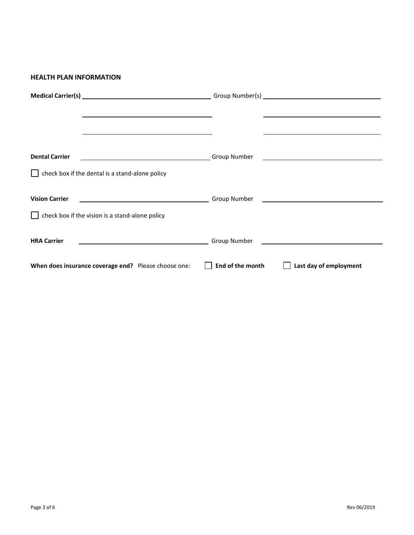#### **HEALTH PLAN INFORMATION**

| <u> 1989 - Johann Stoff, amerikansk politiker (* 1908)</u> | the control of the control of the control of the control of the control of the control of the control of the control of the control of the control of the control of the control of the control of the control of the control |
|------------------------------------------------------------|-------------------------------------------------------------------------------------------------------------------------------------------------------------------------------------------------------------------------------|
|                                                            |                                                                                                                                                                                                                               |
|                                                            |                                                                                                                                                                                                                               |
| <b>Dental Carrier</b>                                      |                                                                                                                                                                                                                               |
| check box if the dental is a stand-alone policy            |                                                                                                                                                                                                                               |
|                                                            |                                                                                                                                                                                                                               |
| <b>Vision Carrier</b>                                      |                                                                                                                                                                                                                               |
| check box if the vision is a stand-alone policy            |                                                                                                                                                                                                                               |
| <b>HRA Carrier</b>                                         |                                                                                                                                                                                                                               |
| When does insurance coverage end? Please choose one:       | End of the month<br>Last day of employment                                                                                                                                                                                    |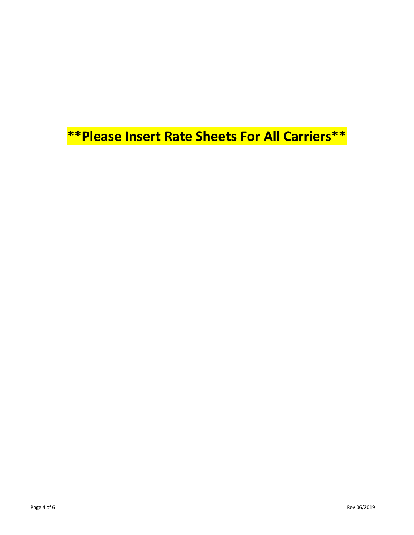**\*\*Please Insert Rate Sheets For All Carriers\*\***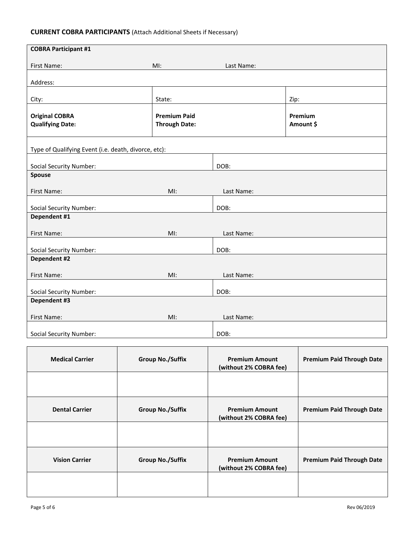# **CURRENT COBRA PARTICIPANTS** (Attach Additional Sheets if Necessary)

| <b>COBRA Participant #1</b>                          |                                             |            |                      |
|------------------------------------------------------|---------------------------------------------|------------|----------------------|
| First Name:                                          | MI:                                         | Last Name: |                      |
| Address:                                             |                                             |            |                      |
| City:                                                | State:                                      |            | Zip:                 |
|                                                      |                                             |            |                      |
| <b>Original COBRA</b><br><b>Qualifying Date:</b>     | <b>Premium Paid</b><br><b>Through Date:</b> |            | Premium<br>Amount \$ |
|                                                      |                                             |            |                      |
| Type of Qualifying Event (i.e. death, divorce, etc): |                                             |            |                      |
| <b>Social Security Number:</b>                       |                                             | DOB:       |                      |
| <b>Spouse</b>                                        |                                             |            |                      |
| First Name:                                          | MI:                                         | Last Name: |                      |
| <b>Social Security Number:</b>                       |                                             | DOB:       |                      |
| Dependent #1                                         |                                             |            |                      |
| First Name:                                          | MI:                                         | Last Name: |                      |
| <b>Social Security Number:</b>                       |                                             | DOB:       |                      |
| <b>Dependent #2</b>                                  |                                             |            |                      |
| First Name:                                          | MI:                                         | Last Name: |                      |
|                                                      |                                             |            |                      |
| <b>Social Security Number:</b><br>Dependent #3       |                                             | DOB:       |                      |
| First Name:                                          | MI:                                         | Last Name: |                      |
|                                                      |                                             |            |                      |
| <b>Social Security Number:</b>                       |                                             | DOB:       |                      |

| <b>Medical Carrier</b> | <b>Group No./Suffix</b> | <b>Premium Amount</b><br>(without 2% COBRA fee) | <b>Premium Paid Through Date</b> |
|------------------------|-------------------------|-------------------------------------------------|----------------------------------|
|                        |                         |                                                 |                                  |
| <b>Dental Carrier</b>  | <b>Group No./Suffix</b> | <b>Premium Amount</b><br>(without 2% COBRA fee) | <b>Premium Paid Through Date</b> |
|                        |                         |                                                 |                                  |
| <b>Vision Carrier</b>  | <b>Group No./Suffix</b> | <b>Premium Amount</b><br>(without 2% COBRA fee) | <b>Premium Paid Through Date</b> |
|                        |                         |                                                 |                                  |